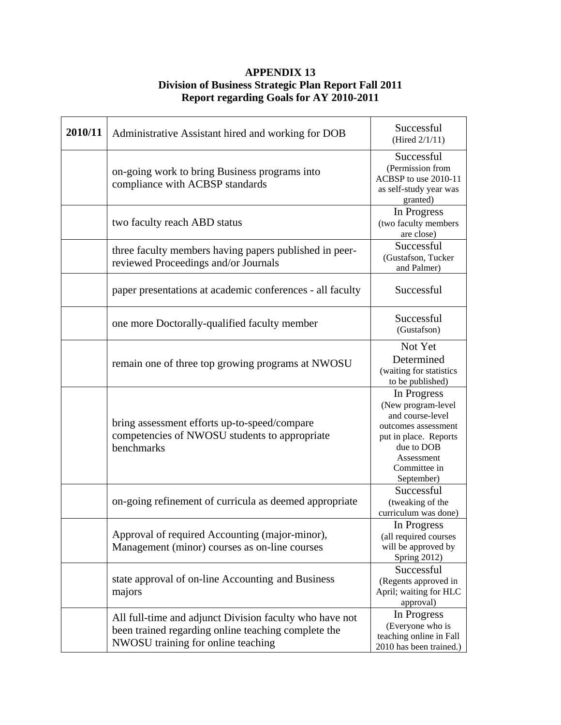## **APPENDIX 13 Division of Business Strategic Plan Report Fall 2011 Report regarding Goals for AY 2010-2011**

| 2010/11 | Administrative Assistant hired and working for DOB                                                                                                   | Successful<br>(Hired 2/1/11)                                                                                                                                    |
|---------|------------------------------------------------------------------------------------------------------------------------------------------------------|-----------------------------------------------------------------------------------------------------------------------------------------------------------------|
|         | on-going work to bring Business programs into<br>compliance with ACBSP standards                                                                     | Successful<br>(Permission from<br>ACBSP to use 2010-11<br>as self-study year was<br>granted)                                                                    |
|         | two faculty reach ABD status                                                                                                                         | In Progress<br>(two faculty members<br>are close)                                                                                                               |
|         | three faculty members having papers published in peer-<br>reviewed Proceedings and/or Journals                                                       | Successful<br>(Gustafson, Tucker<br>and Palmer)                                                                                                                 |
|         | paper presentations at academic conferences - all faculty                                                                                            | Successful                                                                                                                                                      |
|         | one more Doctorally-qualified faculty member                                                                                                         | Successful<br>(Gustafson)                                                                                                                                       |
|         | remain one of three top growing programs at NWOSU                                                                                                    | Not Yet<br>Determined<br>(waiting for statistics<br>to be published)                                                                                            |
|         | bring assessment efforts up-to-speed/compare<br>competencies of NWOSU students to appropriate<br>benchmarks                                          | In Progress<br>(New program-level<br>and course-level<br>outcomes assessment<br>put in place. Reports<br>due to DOB<br>Assessment<br>Committee in<br>September) |
|         | on-going refinement of curricula as deemed appropriate                                                                                               | Successful<br>(tweaking of the<br>curriculum was done)                                                                                                          |
|         | Approval of required Accounting (major-minor),<br>Management (minor) courses as on-line courses                                                      | In Progress<br>(all required courses<br>will be approved by<br>Spring 2012)                                                                                     |
|         | state approval of on-line Accounting and Business<br>majors                                                                                          | Successful<br>(Regents approved in<br>April; waiting for HLC<br>approval)                                                                                       |
|         | All full-time and adjunct Division faculty who have not<br>been trained regarding online teaching complete the<br>NWOSU training for online teaching | In Progress<br>(Everyone who is<br>teaching online in Fall<br>2010 has been trained.)                                                                           |